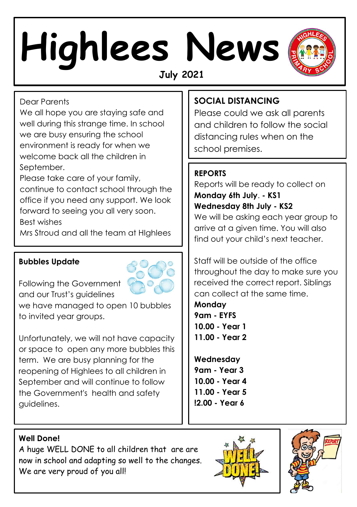# **Highlees News July 2021**



Dear Parents

We all hope you are staying safe and well during this strange time. In school we are busy ensuring the school environment is ready for when we welcome back all the children in September.

Please take care of your family,

continue to contact school through the office if you need any support. We look forward to seeing you all very soon. Best wishes

Mrs Stroud and all the team at HIghlees

### **Bubbles Update**



Following the Government and our Trust's guidelines

we have managed to open 10 bubbles to invited year groups.

Unfortunately, we will not have capacity or space to open any more bubbles this term. We are busy planning for the reopening of Highlees to all children in September and will continue to follow the Government's health and safety guidelines.

## **SOCIAL DISTANCING**

Please could we ask all parents and children to follow the social distancing rules when on the school premises.

## **REPORTS**

Reports will be ready to collect on **Monday 6th July**. **- KS1 Wednesday 8th July - KS2**  We will be asking each year group to

arrive at a given time. You will also find out your child's next teacher.

Staff will be outside of the office throughout the day to make sure you received the correct report. Siblings can collect at the same time.

**Monday 9am - EYFS 10.00 - Year 1 11.00 - Year 2**

**Wednesday 9am - Year 3 10.00 - Year 4 11.00 - Year 5 !2.00 - Year 6** 

#### **Well Done!**

A huge WELL DONE to all children that are are now in school and adapting so well to the changes. We are very proud of you all!